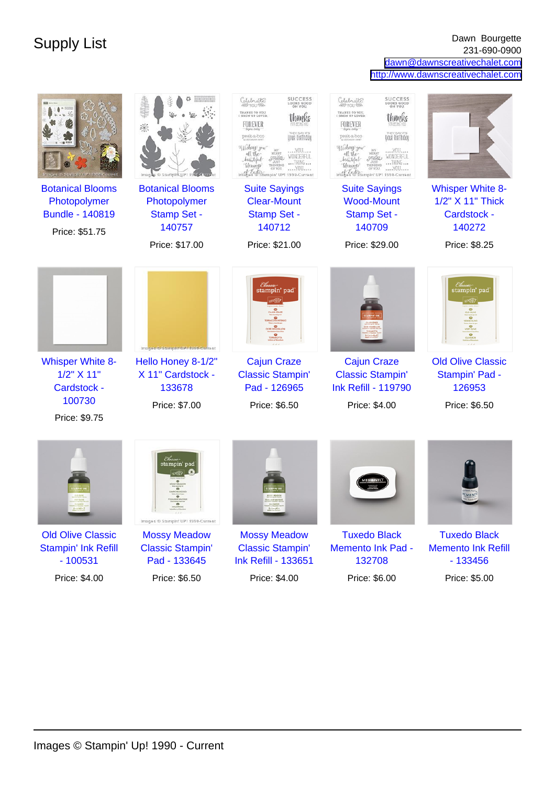Supply List Dawn Bourgette 231-690-0900 [dawn@dawnscreativechalet.com](mailto:dawn@dawnscreativechalet.com) <http://www.dawnscreativechalet.com>

|                                         |                                                                                 | SUCCESS<br>LOOKS GOOD<br>ON YOU.<br>Celebrate<br>THANKS TO YOU.<br>I GREW UP LOVED<br>FOREVER<br>your birthdou<br>peek-a-boo<br>16shing you<br>YOU<br>all the<br>WONDERFUL<br>beautiful<br>THING<br>blessings<br>YOU<br>of East Gampin' UP! 1990-Current | SUCCESS<br>Celebrate<br>LOOKS GOOD<br>THANKS TO YOU.<br>I GREW UP LOVED<br>Inanks<br>FOREVER<br>peek-a-boo<br>your birthdou<br>Wishing you<br>YOU<br>all the<br>WONDERFUL<br>beautiful<br>THING<br>blessings<br>YOU<br>tmages & Stampin' UP! 1990-Current |                                             |
|-----------------------------------------|---------------------------------------------------------------------------------|----------------------------------------------------------------------------------------------------------------------------------------------------------------------------------------------------------------------------------------------------------|-----------------------------------------------------------------------------------------------------------------------------------------------------------------------------------------------------------------------------------------------------------|---------------------------------------------|
| <b>Botanical Blooms</b>                 | <b>Botanical Blooms</b>                                                         | <b>Suite Sayings</b><br><b>Clear-Mount</b>                                                                                                                                                                                                               | <b>Suite Sayings</b><br><b>Wood-Mount</b>                                                                                                                                                                                                                 | <b>Whisper White 8-</b><br>1/2" X 11" Thick |
| Photopolymer<br><b>Bundle - 140819</b>  | Photopolymer<br><b>Stamp Set -</b>                                              | <b>Stamp Set -</b>                                                                                                                                                                                                                                       | <b>Stamp Set -</b>                                                                                                                                                                                                                                        | Cardstock -                                 |
| Price: \$51.75                          | 140757                                                                          | 140712                                                                                                                                                                                                                                                   | 140709                                                                                                                                                                                                                                                    | 140272                                      |
|                                         | Price: \$17.00                                                                  | Price: \$21.00                                                                                                                                                                                                                                           | Price: \$29.00                                                                                                                                                                                                                                            | Price: \$8.25                               |
|                                         | Images ® Stampin' UPI 1990-Current                                              | Classi<br>stampin' pad                                                                                                                                                                                                                                   |                                                                                                                                                                                                                                                           | <i>Classic</i><br>stampin' pad              |
| <b>Whisper White 8-</b><br>1/2" X 11"   | Hello Honey 8-1/2"<br>X 11" Cardstock -                                         | <b>Cajun Craze</b><br><b>Classic Stampin'</b>                                                                                                                                                                                                            | <b>Cajun Craze</b><br><b>Classic Stampin'</b>                                                                                                                                                                                                             | <b>Old Olive Classic</b><br>Stampin' Pad -  |
| Cardstock -                             | 133678                                                                          | Pad - 126965                                                                                                                                                                                                                                             | <b>Ink Refill - 119790</b>                                                                                                                                                                                                                                | 126953                                      |
| 100730                                  | Price: \$7.00                                                                   | Price: \$6.50                                                                                                                                                                                                                                            | Price: \$4.00                                                                                                                                                                                                                                             | Price: \$6.50                               |
| Price: \$9.75                           |                                                                                 |                                                                                                                                                                                                                                                          |                                                                                                                                                                                                                                                           |                                             |
|                                         | tampin' pad<br>$\mathcal{L}(\mathcal{A})$<br>Images ® Stampin' UP! 1990-Current |                                                                                                                                                                                                                                                          |                                                                                                                                                                                                                                                           |                                             |
| <b>Old Olive Classic</b>                | <b>Mossy Meadow</b>                                                             | <b>Mossy Meadow</b>                                                                                                                                                                                                                                      | <b>Tuxedo Black</b>                                                                                                                                                                                                                                       | <b>Tuxedo Black</b>                         |
| <b>Stampin' Ink Refill</b><br>$-100531$ | <b>Classic Stampin'</b><br>Pad - 133645                                         | <b>Classic Stampin'</b><br><b>Ink Refill - 133651</b>                                                                                                                                                                                                    | <b>Memento Ink Pad -</b><br>132708                                                                                                                                                                                                                        | <b>Memento Ink Refill</b><br>$-133456$      |
| Price: \$4.00                           | Price: \$6.50                                                                   | Price: \$4.00                                                                                                                                                                                                                                            | Price: \$6.00                                                                                                                                                                                                                                             | Price: \$5.00                               |